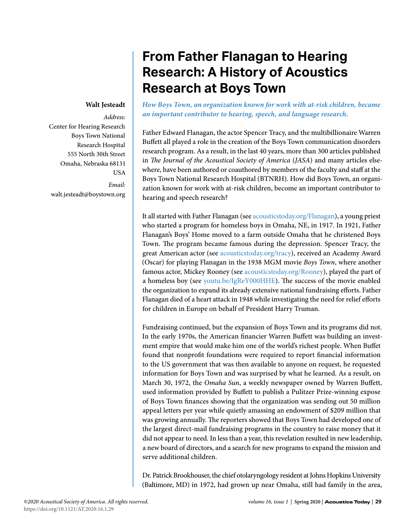# **From Father Flanagan to Hearing Research: A History of Acoustics Research at Boys Town**

#### **Walt Jesteadt**

*Address:* Center for Hearing Research Boys Town National Research Hospital 555 North 30th Street Omaha, Nebraska 68131 USA *Email:* walt.jesteadt@boystown.org

*How Boys Town, an organization known for work with at-risk children, became an important contributor to hearing, speech, and language research.*

Father Edward Flanagan, the actor Spencer Tracy, and the multibillionaire Warren Buffett all played a role in the creation of the Boys Town communication disorders research program. As a result, in the last 40 years, more than 300 articles published in *The Journal of the Acoustical Society of America* (*JASA*) and many articles elsewhere, have been authored or coauthored by members of the faculty and staff at the Boys Town National Research Hospital (BTNRH). How did Boys Town, an organization known for work with at-risk children, become an important contributor to hearing and speech research?

It all started with Father Flanagan (see [acousticstoday.org/Flanagan](http://acousticstoday.org/Flanagan)), a young priest who started a program for homeless boys in Omaha, NE, in 1917. In 1921, Father Flanagan's Boys' Home moved to a farm outside Omaha that he christened Boys Town. The program became famous during the depression. Spencer Tracy, the great American actor (see [acousticstoday.org/tracy](http://acousticstoday.org/tracy)), received an Academy Award (Oscar) for playing Flanagan in the 1938 MGM movie *Boys Town*, where another famous actor, Mickey Rooney (see [acousticstoday.org/Rooney\)](http://acousticstoday.org/Rooney), played the part of a homeless boy (see [youtu.be/IgReY000HHE](http://youtu.be/IgReY000HHE)). The success of the movie enabled the organization to expand its already extensive national fundraising efforts. Father Flanagan died of a heart attack in 1948 while investigating the need for relief efforts for children in Europe on behalf of President Harry Truman.

Fundraising continued, but the expansion of Boys Town and its programs did not. In the early 1970s, the American financier Warren Buffett was building an investment empire that would make him one of the world's richest people. When Buffet found that nonprofit foundations were required to report financial information to the US government that was then available to anyone on request, he requested information for Boys Town and was surprised by what he learned. As a result, on March 30, 1972, the *Omaha Sun*, a weekly newspaper owned by Warren Buffett, used information provided by Buffett to publish a Pulitzer Prize-winning expose of Boys Town finances showing that the organization was sending out 50 million appeal letters per year while quietly amassing an endowment of \$209 million that was growing annually. The reporters showed that Boys Town had developed one of the largest direct-mail fundraising programs in the country to raise money that it did not appear to need. In less than a year, this revelation resulted in new leadership, a new board of directors, and a search for new programs to expand the mission and serve additional children.

Dr. Patrick Brookhouser, the chief otolaryngology resident at Johns Hopkins University (Baltimore, MD) in 1972, had grown up near Omaha, still had family in the area,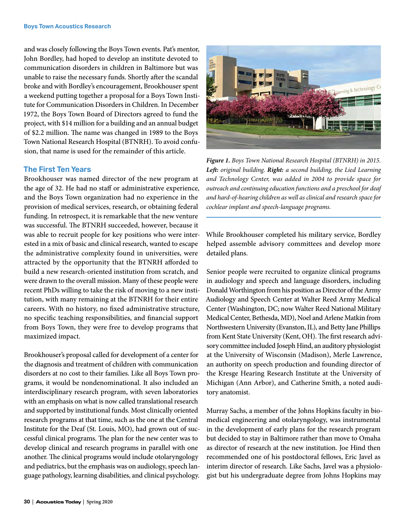and was closely following the Boys Town events. Pat's mentor, John Bordley, had hoped to develop an institute devoted to communication disorders in children in Baltimore but was unable to raise the necessary funds. Shortly after the scandal broke and with Bordley's encouragement, Brookhouser spent a weekend putting together a proposal for a Boys Town Institute for Communication Disorders in Children. In December 1972, the Boys Town Board of Directors agreed to fund the project, with \$14 million for a building and an annual budget of \$2.2 million. The name was changed in 1989 to the Boys Town National Research Hospital (BTNRH). To avoid confusion, that name is used for the remainder of this article.

### **The First Ten Years**

Brookhouser was named director of the new program at the age of 32. He had no staff or administrative experience, and the Boys Town organization had no experience in the provision of medical services, research, or obtaining federal funding. In retrospect, it is remarkable that the new venture was successful. The BTNRH succeeded, however, because it was able to recruit people for key positions who were interested in a mix of basic and clinical research, wanted to escape the administrative complexity found in universities, were attracted by the opportunity that the BTNRH afforded to build a new research-oriented institution from scratch, and were drawn to the overall mission. Many of these people were recent PhDs willing to take the risk of moving to a new institution, with many remaining at the BTNRH for their entire careers. With no history, no fixed administrative structure, no specific teaching responsibilities, and financial support from Boys Town, they were free to develop programs that maximized impact.

Brookhouser's proposal called for development of a center for the diagnosis and treatment of children with communication disorders at no cost to their families. Like all Boys Town programs, it would be nondenominational. It also included an interdisciplinary research program, with seven laboratories with an emphasis on what is now called translational research and supported by institutional funds. Most clinically oriented research programs at that time, such as the one at the Central Institute for the Deaf (St. Louis, MO), had grown out of successful clinical programs. The plan for the new center was to develop clinical and research programs in parallel with one another. The clinical programs would include otolaryngology and pediatrics, but the emphasis was on audiology, speech language pathology, learning disabilities, and clinical psychology.



*Figure 1. Boys Town National Research Hospital (BTNRH) in 2015. Left: original building. Right: a second building, the Lied Learning and Technology Center, was added in 2004 to provide space for outreach and continuing education functions and a preschool for deaf and hard-of-hearing children as well as clinical and research space for cochlear implant and speech-language programs.*

While Brookhouser completed his military service, Bordley helped assemble advisory committees and develop more detailed plans.

Senior people were recruited to organize clinical programs in audiology and speech and language disorders, including Donald Worthington from his position as Director of the Army Audiology and Speech Center at Walter Reed Army Medical Center (Washington, DC; now Walter Reed National Military Medical Center, Bethesda, MD), Noel and Arlene Matkin from Northwestern University (Evanston, IL), and Betty Jane Phillips from Kent State University (Kent, OH). The first research advisory committee included Joseph Hind, an auditory physiologist at the University of Wisconsin (Madison), Merle Lawrence, an authority on speech production and founding director of the Kresge Hearing Research Institute at the University of Michigan (Ann Arbor), and Catherine Smith, a noted auditory anatomist.

Murray Sachs, a member of the Johns Hopkins faculty in biomedical engineering and otolaryngology, was instrumental in the development of early plans for the research program but decided to stay in Baltimore rather than move to Omaha as director of research at the new institution. Joe Hind then recommended one of his postdoctoral fellows, Eric Javel as interim director of research. Like Sachs, Javel was a physiologist but his undergraduate degree from Johns Hopkins may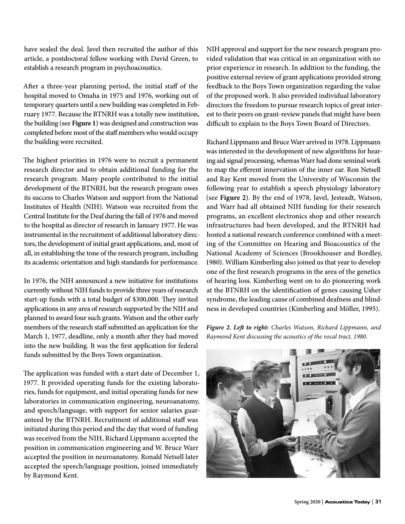have sealed the deal. Javel then recruited the author of this article, a postdoctoral fellow working with David Green, to establish a research program in psychoacoustics.

After a three-year planning period, the initial staff of the hospital moved to Omaha in 1975 and 1976, working out of temporary quarters until a new building was completed in February 1977. Because the BTNRH was a totally new institution, the building (see **Figure 1**) was designed and construction was completed before most of the staff members who would occupy the building were recruited.

The highest priorities in 1976 were to recruit a permanent research director and to obtain additional funding for the research program. Many people contributed to the initial development of the BTNRH, but the research program owes its success to Charles Watson and support from the National Institutes of Health (NIH). Watson was recruited from the Central Institute for the Deaf during the fall of 1976 and moved to the hospital as director of research in January 1977. He was instrumental in the recruitment of additional laboratory directors, the development of initial grant applications, and, most of all, in establishing the tone of the research program, including its academic orientation and high standards for performance.

In 1976, the NIH announced a new initiative for institutions currently without NIH funds to provide three years of research start-up funds with a total budget of \$300,000. They invited applications in any area of research supported by the NIH and planned to award four such grants. Watson and the other early members of the research staff submitted an application for the March 1, 1977, deadline, only a month after they had moved into the new building. It was the first application for federal funds submitted by the Boys Town organization.

The application was funded with a start date of December 1, 1977. It provided operating funds for the existing laboratories, funds for equipment, and initial operating funds for new laboratories in communication engineering, neuroanatomy, and speech/language, with support for senior salaries guaranteed by the BTNRH. Recruitment of additional staff was initiated during this period and the day that word of funding was received from the NIH, Richard Lippmann accepted the position in communication engineering and W. Bruce Warr accepted the position in neuroanatomy. Ronald Netsell later accepted the speech/language position, joined immediately by Raymond Kent.

NIH approval and support for the new research program provided validation that was critical in an organization with no prior experience in research. In addition to the funding, the positive external review of grant applications provided strong feedback to the Boys Town organization regarding the value of the proposed work. It also provided individual laboratory directors the freedom to pursue research topics of great interest to their peers on grant-review panels that might have been difficult to explain to the Boys Town Board of Directors.

Richard Lippmann and Bruce Warr arrived in 1978. Lippmann was interested in the development of new algorithms for hearing aid signal processing, whereas Warr had done seminal work to map the efferent innervation of the inner ear. Ron Netsell and Ray Kent moved from the University of Wisconsin the following year to establish a speech physiology laboratory (see **Figure 2**). By the end of 1978, Javel, Jesteadt, Watson, and Warr had all obtained NIH funding for their research programs, an excellent electronics shop and other research infrastructures had been developed, and the BTNRH had hosted a national research conference combined with a meeting of the Committee on Hearing and Bioacoustics of the National Academy of Sciences (Brookhouser and Bordley, 1980). William Kimberling also joined us that year to develop one of the first research programs in the area of the genetics of hearing loss. Kimberling went on to do pioneering work at the BTNRH on the identification of genes causing Usher syndrome, the leading cause of combined deafness and blindness in developed countries (Kimberling and Möller, 1995).

*Figure 2. Left to right: Charles Watson, Richard Lippmann, and Raymond Kent discussing the acoustics of the vocal tract, 1980.*

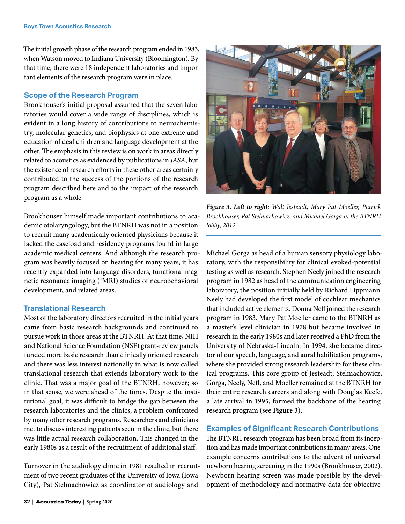The initial growth phase of the research program ended in 1983, when Watson moved to Indiana University (Bloomington). By that time, there were 18 independent laboratories and important elements of the research program were in place.

## **Scope of the Research Program**

Brookhouser's initial proposal assumed that the seven laboratories would cover a wide range of disciplines, which is evident in a long history of contributions to neurochemistry, molecular genetics, and biophysics at one extreme and education of deaf children and language development at the other. The emphasis in this review is on work in areas directly related to acoustics as evidenced by publications in *JASA*, but the existence of research efforts in these other areas certainly contributed to the success of the portions of the research program described here and to the impact of the research program as a whole.

Brookhouser himself made important contributions to academic otolaryngology, but the BTNRH was not in a position to recruit many academically oriented physicians because it lacked the caseload and residency programs found in large academic medical centers. And although the research program was heavily focused on hearing for many years, it has recently expanded into language disorders, functional magnetic resonance imaging (fMRI) studies of neurobehavioral development, and related areas.

#### **Translational Research**

Most of the laboratory directors recruited in the initial years came from basic research backgrounds and continued to pursue work in those areas at the BTNRH. At that time, NIH and National Science Foundation (NSF) grant-review panels funded more basic research than clinically oriented research and there was less interest nationally in what is now called translational research that extends laboratory work to the clinic. That was a major goal of the BTNRH, however; so in that sense, we were ahead of the times. Despite the institutional goal, it was difficult to bridge the gap between the research laboratories and the clinics, a problem confronted by many other research programs. Researchers and clinicians met to discuss interesting patients seen in the clinic, but there was little actual research collaboration. This changed in the early 1980s as a result of the recruitment of additional staff.

Turnover in the audiology clinic in 1981 resulted in recruitment of two recent graduates of the University of Iowa (Iowa City), Pat Stelmachowicz as coordinator of audiology and



*Figure 3. Left to right: Walt Jesteadt, Mary Pat Moeller, Patrick Brookhouser, Pat Stelmachowicz, and Michael Gorga in the BTNRH lobby, 2012.*

Michael Gorga as head of a human sensory physiology laboratory, with the responsibility for clinical evoked-potential testing as well as research. Stephen Neely joined the research program in 1982 as head of the communication engineering laboratory, the position initially held by Richard Lippmann. Neely had developed the first model of cochlear mechanics that included active elements. Donna Neff joined the research program in 1983. Mary Pat Moeller came to the BTNRH as a master's level clinician in 1978 but became involved in research in the early 1980s and later received a PhD from the University of Nebraska-Lincoln. In 1994, she became director of our speech, language, and aural habilitation programs, where she provided strong research leadership for these clinical programs. This core group of Jesteadt, Stelmachowicz, Gorga, Neely, Neff, and Moeller remained at the BTNRH for their entire research careers and along with Douglas Keefe, a late arrival in 1995, formed the backbone of the hearing research program (see **Figure 3**).

#### **Examples of Significant Research Contributions**

The BTNRH research program has been broad from its inception and has made important contributions in many areas. One example concerns contributions to the advent of universal newborn hearing screening in the 1990s (Brookhouser, 2002). Newborn hearing screen was made possible by the development of methodology and normative data for objective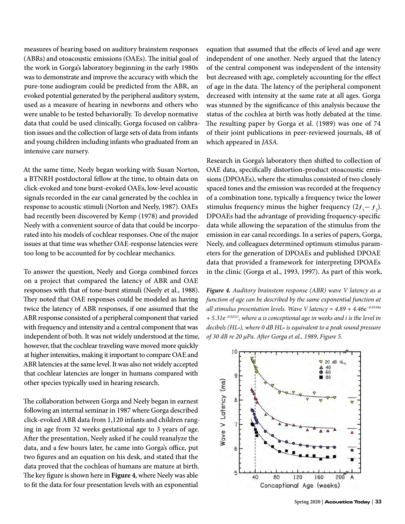measures of hearing based on auditory brainstem responses (ABRs) and otoacoustic emissions (OAEs). The initial goal of the work in Gorga's laboratory beginning in the early 1980s was to demonstrate and improve the accuracy with which the pure-tone audiogram could be predicted from the ABR, an evoked potential generated by the peripheral auditory system, used as a measure of hearing in newborns and others who were unable to be tested behaviorally. To develop normative data that could be used clinically, Gorga focused on calibration issues and the collection of large sets of data from infants and young children including infants who graduated from an intensive care nursery.

At the same time, Neely began working with Susan Norton, a BTNRH postdoctoral fellow at the time, to obtain data on click-evoked and tone burst-evoked OAEs, low-level acoustic signals recorded in the ear canal generated by the cochlea in response to acoustic stimuli (Norton and Neely, 1987). OAEs had recently been discovered by Kemp (1978) and provided Neely with a convenient source of data that could be incorporated into his models of cochlear responses. One of the major issues at that time was whether OAE-response latencies were too long to be accounted for by cochlear mechanics.

To answer the question, Neely and Gorga combined forces on a project that compared the latency of ABR and OAE responses with that of tone-burst stimuli (Neely et al., 1988). They noted that OAE responses could be modeled as having twice the latency of ABR responses, if one assumed that the ABR response consisted of a peripheral component that varied with frequency and intensity and a central component that was independent of both. It was not widely understood at the time, however, that the cochlear traveling wave moved more quickly at higher intensities, making it important to compare OAE and ABR latencies at the same level. It was also not widely accepted that cochlear latencies are longer in humans compared with other species typically used in hearing research.

The collaboration between Gorga and Neely began in earnest following an internal seminar in 1987 where Gorga described click-evoked ABR data from 1,120 infants and children ranging in age from 32 weeks gestational age to 3 years of age. After the presentation, Neely asked if he could reanalyze the data, and a few hours later, he came into Gorga's office, put two figures and an equation on his desk, and stated that the data proved that the cochleas of humans are mature at birth. The key figure is shown here in **Figure 4**, where Neely was able to fit the data for four presentation levels with an exponential

equation that assumed that the effects of level and age were independent of one another. Neely argued that the latency of the central component was independent of the intensity but decreased with age, completely accounting for the effect of age in the data. The latency of the peripheral component decreased with intensity at the same rate at all ages. Gorga was stunned by the significance of this analysis because the status of the cochlea at birth was hotly debated at the time. The resulting paper by Gorga et al. (1989) was one of 74 of their joint publications in peer-reviewed journals, 48 of which appeared in *JASA*.

Research in Gorga's laboratory then shifted to collection of OAE data, specifically distortion-product otoacoustic emissions (DPOAEs), where the stimulus consisted of two closely spaced tones and the emission was recorded at the frequency of a combination tone, typically a frequency twice the lower stimulus frequency minus the higher frequency  $(2f_1 - f_2)$ . DPOAEs had the advantage of providing frequency-specific data while allowing the separation of the stimulus from the emission in ear canal recordings. In a series of papers, Gorga, Neely, and colleagues determined optimum stimulus parameters for the generation of DPOAEs and published DPOAE data that provided a framework for interpreting DPOAEs in the clinic (Gorga et al., 1993, 1997). As part of this work,

*Figure 4. Auditory brainstem response (ABR) wave V latency as a function of age can be described by the same exponential function at all stimulus presentation levels. Wave V latency = 4.89 + 4.46*e*−0.0318a + 5.31*e*−0.0251i, where a is conceptional age in weeks and i is the level in decibels (HLn), where 0 dB HLn is equivalent to a peak sound pressure of 30 dB re 20 μPa. After Gorga et al., 1989, Figure 5.*

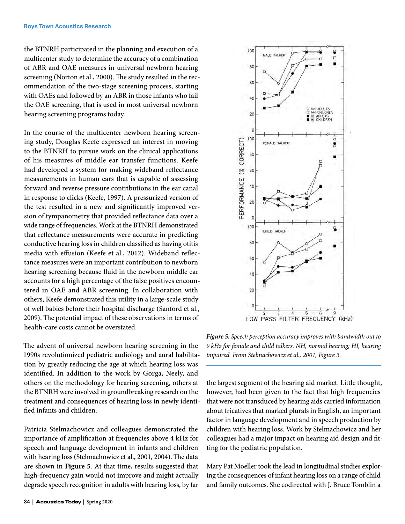the BTNRH participated in the planning and execution of a multicenter study to determine the accuracy of a combination of ABR and OAE measures in universal newborn hearing screening (Norton et al., 2000). The study resulted in the recommendation of the two-stage screening process, starting with OAEs and followed by an ABR in those infants who fail the OAE screening, that is used in most universal newborn hearing screening programs today.

In the course of the multicenter newborn hearing screening study, Douglas Keefe expressed an interest in moving to the BTNRH to pursue work on the clinical applications of his measures of middle ear transfer functions. Keefe had developed a system for making wideband reflectance measurements in human ears that is capable of assessing forward and reverse pressure contributions in the ear canal in response to clicks (Keefe, 1997). A pressurized version of the test resulted in a new and significantly improved version of tympanometry that provided reflectance data over a wide range of frequencies. Work at the BTNRH demonstrated that reflectance measurements were accurate in predicting conductive hearing loss in children classified as having otitis media with effusion (Keefe et al., 2012). Wideband reflectance measures were an important contribution to newborn hearing screening because fluid in the newborn middle ear accounts for a high percentage of the false positives encountered in OAE and ABR screening. In collaboration with others, Keefe demonstrated this utility in a large-scale study of well babies before their hospital discharge (Sanford et al., 2009). The potential impact of these observations in terms of health-care costs cannot be overstated.

The advent of universal newborn hearing screening in the 1990s revolutionized pediatric audiology and aural habilitation by greatly reducing the age at which hearing loss was identified. In addition to the work by Gorga, Neely, and others on the methodology for hearing screening, others at the BTNRH were involved in groundbreaking research on the treatment and consequences of hearing loss in newly identified infants and children.

Patricia Stelmachowicz and colleagues demonstrated the importance of amplification at frequencies above 4 kHz for speech and language development in infants and children with hearing loss (Stelmachowicz et al., 2001, 2004). The data are shown in **Figure 5**. At that time, results suggested that high-frequency gain would not improve and might actually degrade speech recognition in adults with hearing loss, by far



*Figure 5. Speech perception accuracy improves with bandwidth out to 9 kHz for female and child talkers. NH, normal hearing; HI, hearing impaired. From Stelmachowicz et al., 2001, Figure 3.*

the largest segment of the hearing aid market. Little thought, however, had been given to the fact that high frequencies that were not transduced by hearing aids carried information about fricatives that marked plurals in English, an important factor in language development and in speech production by children with hearing loss. Work by Stelmachowicz and her colleagues had a major impact on hearing aid design and fitting for the pediatric population.

Mary Pat Moeller took the lead in longitudinal studies exploring the consequences of infant hearing loss on a range of child and family outcomes. She codirected with J. Bruce Tomblin a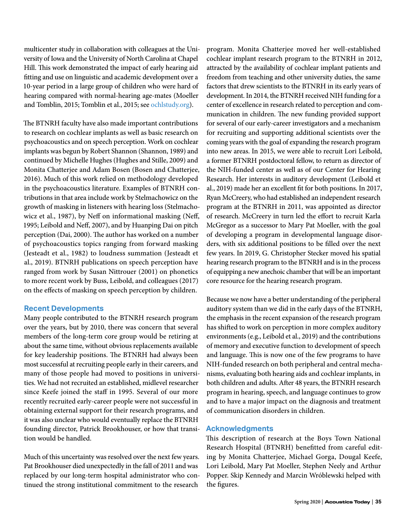multicenter study in collaboration with colleagues at the University of Iowa and the University of North Carolina at Chapel Hill. This work demonstrated the impact of early hearing aid fitting and use on linguistic and academic development over a 10-year period in a large group of children who were hard of hearing compared with normal-hearing age-mates (Moeller and Tomblin, 2015; Tomblin et al., 2015; see [ochlstudy.org](http://ochlstudy.org)).

The BTNRH faculty have also made important contributions to research on cochlear implants as well as basic research on psychoacoustics and on speech perception. Work on cochlear implants was begun by Robert Shannon (Shannon, 1989) and continued by Michelle Hughes (Hughes and Stille, 2009) and Monita Chatterjee and Adam Bosen (Bosen and Chatterjee, 2016). Much of this work relied on methodology developed in the psychoacoustics literature. Examples of BTNRH contributions in that area include work by Stelmachowicz on the growth of masking in listeners with hearing loss (Stelmachowicz et al., 1987), by Neff on informational masking (Neff, 1995; Leibold and Neff, 2007), and by Huanping Dai on pitch perception (Dai, 2000). The author has worked on a number of psychoacoustics topics ranging from forward masking (Jesteadt et al., 1982) to loudness summation (Jesteadt et al., 2019). BTNRH publications on speech perception have ranged from work by Susan Nittrouer (2001) on phonetics to more recent work by Buss, Leibold, and colleagues (2017) on the effects of masking on speech perception by children.

# **Recent Developments**

Many people contributed to the BTNRH research program over the years, but by 2010, there was concern that several members of the long-term core group would be retiring at about the same time, without obvious replacements available for key leadership positions. The BTNRH had always been most successful at recruiting people early in their careers, and many of those people had moved to positions in universities. We had not recruited an established, midlevel researcher since Keefe joined the staff in 1995. Several of our more recently recruited early-career people were not successful in obtaining external support for their research programs, and it was also unclear who would eventually replace the BTNRH founding director, Patrick Brookhouser, or how that transition would be handled.

Much of this uncertainty was resolved over the next few years. Pat Brookhouser died unexpectedly in the fall of 2011 and was replaced by our long-term hospital administrator who continued the strong institutional commitment to the research

program. Monita Chatterjee moved her well-established cochlear implant research program to the BTNRH in 2012, attracted by the availability of cochlear implant patients and freedom from teaching and other university duties, the same factors that drew scientists to the BTNRH in its early years of development. In 2014, the BTNRH received NIH funding for a center of excellence in research related to perception and communication in children. The new funding provided support for several of our early-career investigators and a mechanism for recruiting and supporting additional scientists over the coming years with the goal of expanding the research program into new areas. In 2015, we were able to recruit Lori Leibold, a former BTNRH postdoctoral fellow, to return as director of the NIH-funded center as well as of our Center for Hearing Research. Her interests in auditory development (Leibold et al., 2019) made her an excellent fit for both positions. In 2017, Ryan McCreery, who had established an independent research program at the BTNRH in 2011, was appointed as director of research. McCreery in turn led the effort to recruit Karla McGregor as a successor to Mary Pat Moeller, with the goal of developing a program in developmental language disorders, with six additional positions to be filled over the next few years. In 2019, G. Christopher Stecker moved his spatial hearing research program to the BTNRH and is in the process of equipping a new anechoic chamber that will be an important core resource for the hearing research program.

Because we now have a better understanding of the peripheral auditory system than we did in the early days of the BTNRH, the emphasis in the recent expansion of the research program has shifted to work on perception in more complex auditory environments (e.g., Leibold et al., 2019) and the contributions of memory and executive function to development of speech and language. This is now one of the few programs to have NIH-funded research on both peripheral and central mechanisms, evaluating both hearing aids and cochlear implants, in both children and adults. After 48 years, the BTNRH research program in hearing, speech, and language continues to grow and to have a major impact on the diagnosis and treatment of communication disorders in children.

# **Acknowledgments**

This description of research at the Boys Town National Research Hospital (BTNRH) benefitted from careful editing by Monita Chatterjee, Michael Gorga, Dougal Keefe, Lori Leibold, Mary Pat Moeller, Stephen Neely and Arthur Popper. Skip Kennedy and Marcin Wróblewski helped with the figures.